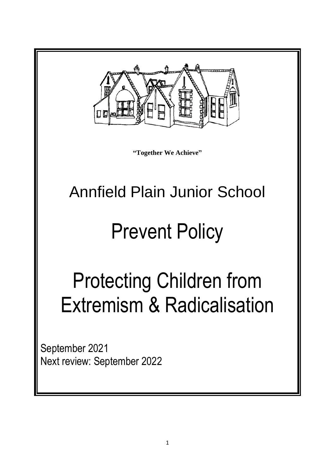

**"Together We Achieve"**

# Annfield Plain Junior School

# Prevent Policy

# Protecting Children from Extremism & Radicalisation

September 2021 Next review: September 2022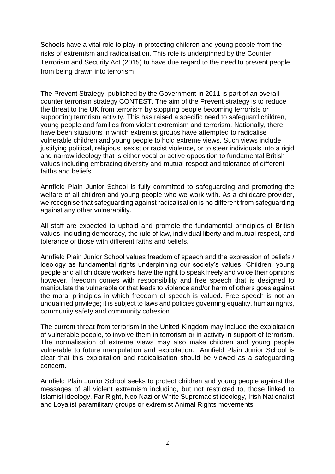Schools have a vital role to play in protecting children and young people from the risks of extremism and radicalisation. This role is underpinned by the Counter Terrorism and Security Act (2015) to have due regard to the need to prevent people from being drawn into terrorism.

The Prevent Strategy, published by the Government in 2011 is part of an overall counter terrorism strategy CONTEST. The aim of the Prevent strategy is to reduce the threat to the UK from terrorism by stopping people becoming terrorists or supporting terrorism activity. This has raised a specific need to safeguard children, young people and families from violent extremism and terrorism. Nationally, there have been situations in which extremist groups have attempted to radicalise vulnerable children and young people to hold extreme views. Such views include justifying political, religious, sexist or racist violence, or to steer individuals into a rigid and narrow ideology that is either vocal or active opposition to fundamental British values including embracing diversity and mutual respect and tolerance of different faiths and beliefs.

Annfield Plain Junior School is fully committed to safeguarding and promoting the welfare of all children and young people who we work with. As a childcare provider, we recognise that safeguarding against radicalisation is no different from safeguarding against any other vulnerability.

All staff are expected to uphold and promote the fundamental principles of British values, including democracy, the rule of law, individual liberty and mutual respect, and tolerance of those with different faiths and beliefs.

Annfield Plain Junior School values freedom of speech and the expression of beliefs / ideology as fundamental rights underpinning our society's values. Children, young people and all childcare workers have the right to speak freely and voice their opinions however, freedom comes with responsibility and free speech that is designed to manipulate the vulnerable or that leads to violence and/or harm of others goes against the moral principles in which freedom of speech is valued. Free speech is not an unqualified privilege; it is subject to laws and policies governing equality, human rights, community safety and community cohesion.

The current threat from terrorism in the United Kingdom may include the exploitation of vulnerable people, to involve them in terrorism or in activity in support of terrorism. The normalisation of extreme views may also make children and young people vulnerable to future manipulation and exploitation. Annfield Plain Junior School is clear that this exploitation and radicalisation should be viewed as a safeguarding concern.

Annfield Plain Junior School seeks to protect children and young people against the messages of all violent extremism including, but not restricted to, those linked to Islamist ideology, Far Right, Neo Nazi or White Supremacist ideology, Irish Nationalist and Loyalist paramilitary groups or extremist Animal Rights movements.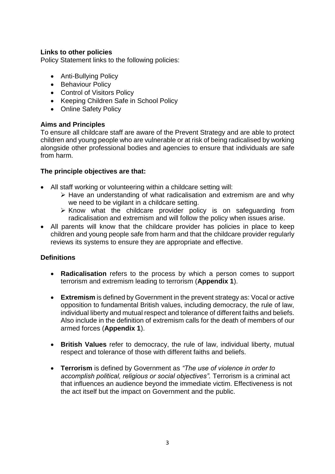#### **Links to other policies**

Policy Statement links to the following policies:

- Anti-Bullying Policy
- Behaviour Policy
- Control of Visitors Policy
- Keeping Children Safe in School Policy
- Online Safety Policy

### **Aims and Principles**

To ensure all childcare staff are aware of the Prevent Strategy and are able to protect children and young people who are vulnerable or at risk of being radicalised by working alongside other professional bodies and agencies to ensure that individuals are safe from harm.

#### **The principle objectives are that:**

- All staff working or volunteering within a childcare setting will:
	- ➢ Have an understanding of what radicalisation and extremism are and why we need to be vigilant in a childcare setting.
	- ➢ Know what the childcare provider policy is on safeguarding from radicalisation and extremism and will follow the policy when issues arise.
- All parents will know that the childcare provider has policies in place to keep children and young people safe from harm and that the childcare provider regularly reviews its systems to ensure they are appropriate and effective.

### **Definitions**

- **Radicalisation** refers to the process by which a person comes to support terrorism and extremism leading to terrorism (**Appendix 1**).
- **Extremism** is defined by Government in the prevent strategy as: Vocal or active opposition to fundamental British values, including democracy, the rule of law, individual liberty and mutual respect and tolerance of different faiths and beliefs. Also include in the definition of extremism calls for the death of members of our armed forces (**Appendix 1**).
- **British Values** refer to democracy, the rule of law, individual liberty, mutual respect and tolerance of those with different faiths and beliefs.
- **Terrorism** is defined by Government as *"The use of violence in order to accomplish political, religious or social objectives".* Terrorism is a criminal act that influences an audience beyond the immediate victim. Effectiveness is not the act itself but the impact on Government and the public.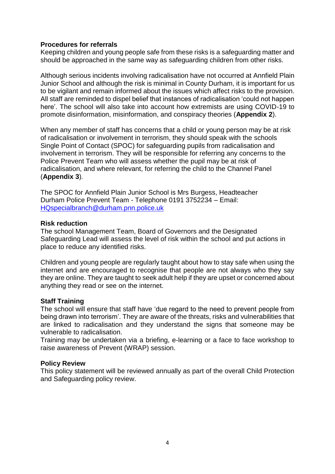#### **Procedures for referrals**

Keeping children and young people safe from these risks is a safeguarding matter and should be approached in the same way as safeguarding children from other risks.

Although serious incidents involving radicalisation have not occurred at Annfield Plain Junior School and although the risk is minimal in County Durham, it is important for us to be vigilant and remain informed about the issues which affect risks to the provision. All staff are reminded to dispel belief that instances of radicalisation 'could not happen here'. The school will also take into account how extremists are using COVID-19 to promote disinformation, misinformation, and conspiracy theories (**Appendix 2**).

When any member of staff has concerns that a child or young person may be at risk of radicalisation or involvement in terrorism, they should speak with the schools Single Point of Contact (SPOC) for safeguarding pupils from radicalisation and involvement in terrorism. They will be responsible for referring any concerns to the Police Prevent Team who will assess whether the pupil may be at risk of radicalisation, and where relevant, for referring the child to the Channel Panel (**Appendix 3**).

The SPOC for Annfield Plain Junior School is Mrs Burgess, Headteacher Durham Police Prevent Team - Telephone 0191 3752234 – Email: [HQspecialbranch@durham.pnn.police.uk](mailto:HQspecialbranch@durham.pnn.police.uk)

#### **Risk reduction**

The school Management Team, Board of Governors and the Designated Safeguarding Lead will assess the level of risk within the school and put actions in place to reduce any identified risks.

Children and young people are regularly taught about how to stay safe when using the internet and are encouraged to recognise that people are not always who they say they are online. They are taught to seek adult help if they are upset or concerned about anything they read or see on the internet.

#### **Staff Training**

The school will ensure that staff have 'due regard to the need to prevent people from being drawn into terrorism'. They are aware of the threats, risks and vulnerabilities that are linked to radicalisation and they understand the signs that someone may be vulnerable to radicalisation.

Training may be undertaken via a briefing, e-learning or a face to face workshop to raise awareness of Prevent (WRAP) session.

#### **Policy Review**

This policy statement will be reviewed annually as part of the overall Child Protection and Safeguarding policy review.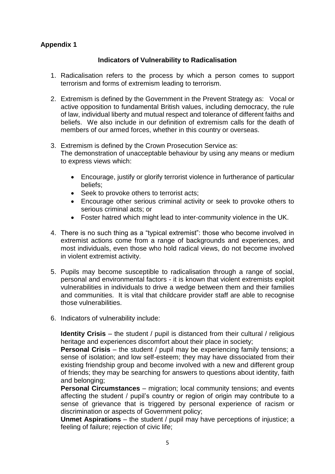# **Appendix 1**

#### **Indicators of Vulnerability to Radicalisation**

- 1. Radicalisation refers to the process by which a person comes to support terrorism and forms of extremism leading to terrorism.
- 2. Extremism is defined by the Government in the Prevent Strategy as: Vocal or active opposition to fundamental British values, including democracy, the rule of law, individual liberty and mutual respect and tolerance of different faiths and beliefs. We also include in our definition of extremism calls for the death of members of our armed forces, whether in this country or overseas.
- 3. Extremism is defined by the Crown Prosecution Service as: The demonstration of unacceptable behaviour by using any means or medium to express views which:
	- Encourage, justify or glorify terrorist violence in furtherance of particular beliefs;
	- Seek to provoke others to terrorist acts;
	- Encourage other serious criminal activity or seek to provoke others to serious criminal acts; or
	- Foster hatred which might lead to inter-community violence in the UK.
- 4. There is no such thing as a "typical extremist": those who become involved in extremist actions come from a range of backgrounds and experiences, and most individuals, even those who hold radical views, do not become involved in violent extremist activity.
- 5. Pupils may become susceptible to radicalisation through a range of social, personal and environmental factors - it is known that violent extremists exploit vulnerabilities in individuals to drive a wedge between them and their families and communities. It is vital that childcare provider staff are able to recognise those vulnerabilities.
- 6. Indicators of vulnerability include:

**Identity Crisis** – the student / pupil is distanced from their cultural / religious heritage and experiences discomfort about their place in society;

**Personal Crisis** – the student / pupil may be experiencing family tensions; a sense of isolation; and low self-esteem; they may have dissociated from their existing friendship group and become involved with a new and different group of friends; they may be searching for answers to questions about identity, faith and belonging:

**Personal Circumstances** – migration; local community tensions; and events affecting the student / pupil's country or region of origin may contribute to a sense of grievance that is triggered by personal experience of racism or discrimination or aspects of Government policy;

**Unmet Aspirations** – the student / pupil may have perceptions of injustice; a feeling of failure; rejection of civic life;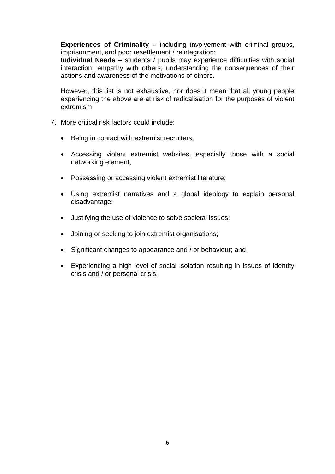**Experiences of Criminality** – including involvement with criminal groups, imprisonment, and poor resettlement / reintegration;

**Individual Needs** – students / pupils may experience difficulties with social interaction, empathy with others, understanding the consequences of their actions and awareness of the motivations of others.

However, this list is not exhaustive, nor does it mean that all young people experiencing the above are at risk of radicalisation for the purposes of violent extremism.

- 7. More critical risk factors could include:
	- Being in contact with extremist recruiters;
	- Accessing violent extremist websites, especially those with a social networking element;
	- Possessing or accessing violent extremist literature;
	- Using extremist narratives and a global ideology to explain personal disadvantage;
	- Justifying the use of violence to solve societal issues;
	- Joining or seeking to join extremist organisations;
	- Significant changes to appearance and / or behaviour; and
	- Experiencing a high level of social isolation resulting in issues of identity crisis and / or personal crisis.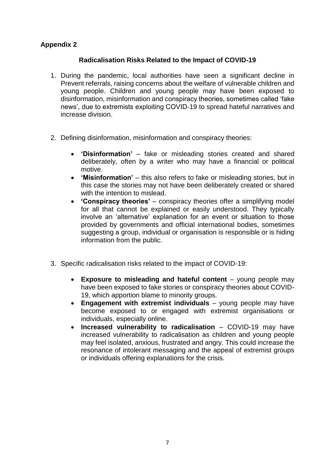# **Appendix 2**

#### **Radicalisation Risks Related to the Impact of COVID-19**

- 1. During the pandemic, local authorities have seen a significant decline in Prevent referrals, raising concerns about the welfare of vulnerable children and young people. Children and young people may have been exposed to disinformation, misinformation and conspiracy theories, sometimes called 'fake news', due to extremists exploiting COVID-19 to spread hateful narratives and increase division.
- 2. Defining disinformation, misinformation and conspiracy theories:
	- **'Disinformation'** fake or misleading stories created and shared deliberately, often by a writer who may have a financial or political motive.
	- **'Misinformation'** this also refers to fake or misleading stories, but in this case the stories may not have been deliberately created or shared with the intention to mislead.
	- **'Conspiracy theories'**  conspiracy theories offer a simplifying model for all that cannot be explained or easily understood. They typically involve an 'alternative' explanation for an event or situation to those provided by governments and official international bodies, sometimes suggesting a group, individual or organisation is responsible or is hiding information from the public.
- 3. Specific radicalisation risks related to the impact of COVID-19:
	- **Exposure to misleading and hateful content** young people may have been exposed to fake stories or conspiracy theories about COVID-19, which apportion blame to minority groups.
	- **Engagement with extremist individuals**  young people may have become exposed to or engaged with extremist organisations or individuals, especially online.
	- **Increased vulnerability to radicalisation**  COVID-19 may have increased vulnerability to radicalisation as children and young people may feel isolated, anxious, frustrated and angry. This could increase the resonance of intolerant messaging and the appeal of extremist groups or individuals offering explanations for the crisis.